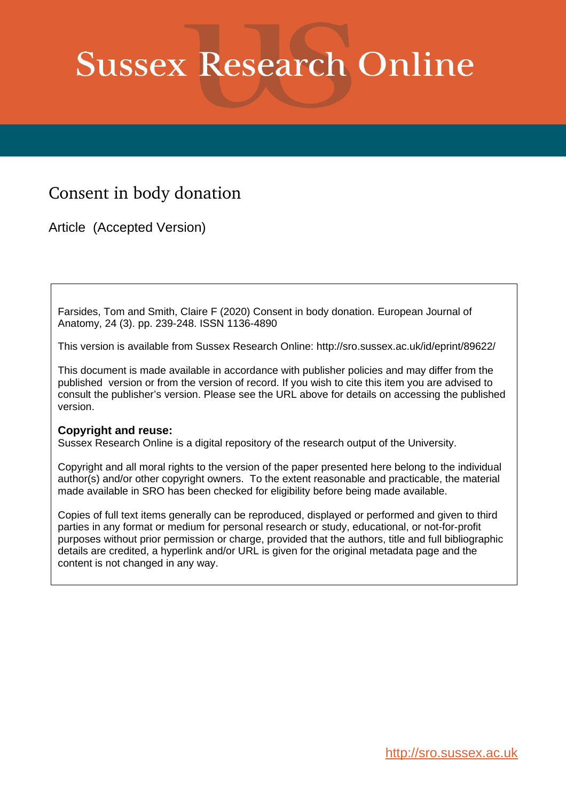# **Sussex Research Online**

# Consent in body donation

Article (Accepted Version)

Farsides, Tom and Smith, Claire F (2020) Consent in body donation. European Journal of Anatomy, 24 (3). pp. 239-248. ISSN 1136-4890

This version is available from Sussex Research Online: http://sro.sussex.ac.uk/id/eprint/89622/

This document is made available in accordance with publisher policies and may differ from the published version or from the version of record. If you wish to cite this item you are advised to consult the publisher's version. Please see the URL above for details on accessing the published version.

# **Copyright and reuse:**

Sussex Research Online is a digital repository of the research output of the University.

Copyright and all moral rights to the version of the paper presented here belong to the individual author(s) and/or other copyright owners. To the extent reasonable and practicable, the material made available in SRO has been checked for eligibility before being made available.

Copies of full text items generally can be reproduced, displayed or performed and given to third parties in any format or medium for personal research or study, educational, or not-for-profit purposes without prior permission or charge, provided that the authors, title and full bibliographic details are credited, a hyperlink and/or URL is given for the original metadata page and the content is not changed in any way.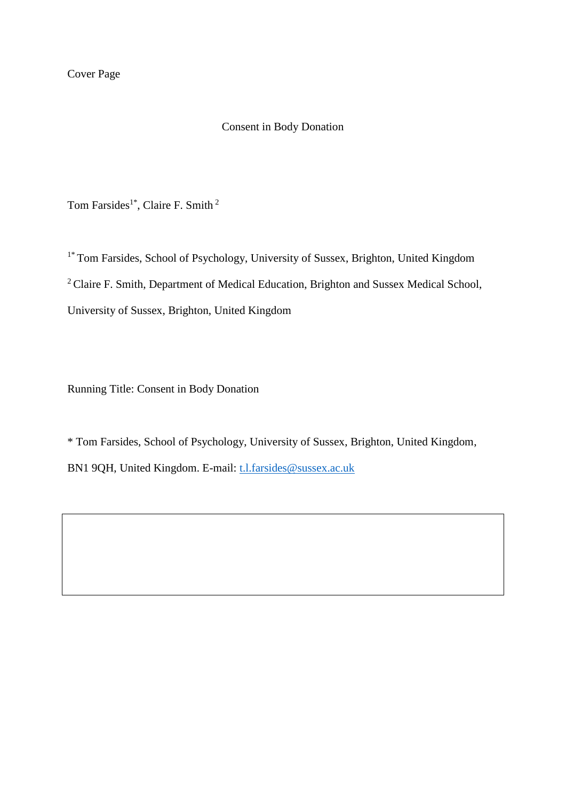Cover Page

#### Consent in Body Donation

Tom Farsides<sup>1\*</sup>, Claire F. Smith<sup>2</sup>

<sup>1\*</sup> Tom Farsides, School of Psychology, University of Sussex, Brighton, United Kingdom <sup>2</sup> Claire F. Smith, Department of Medical Education, Brighton and Sussex Medical School, University of Sussex, Brighton, United Kingdom

Running Title: Consent in Body Donation

\* Tom Farsides, School of Psychology, University of Sussex, Brighton, United Kingdom, BN1 9QH, United Kingdom. E-mail: [t.l.farsides@sussex.ac.uk](mailto:t.l.farsides@sussex.ac.uk)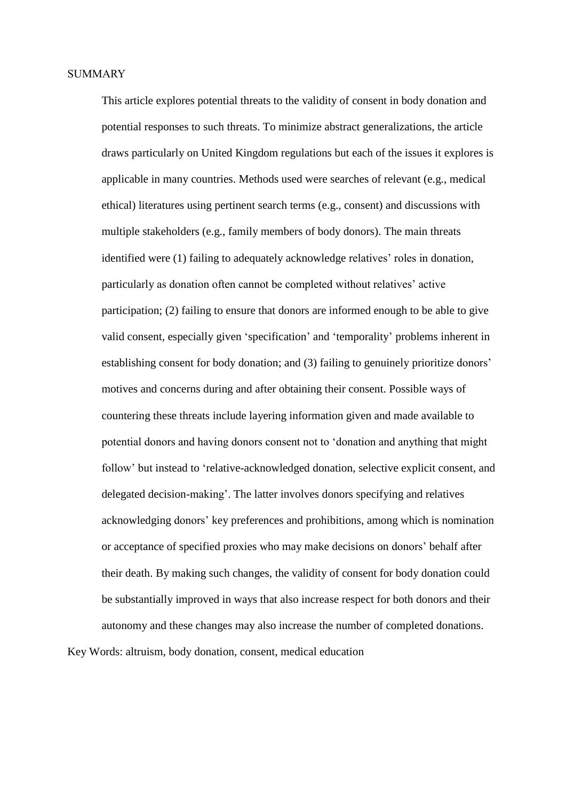This article explores potential threats to the validity of consent in body donation and potential responses to such threats. To minimize abstract generalizations, the article draws particularly on United Kingdom regulations but each of the issues it explores is applicable in many countries. Methods used were searches of relevant (e.g., medical ethical) literatures using pertinent search terms (e.g., consent) and discussions with multiple stakeholders (e.g., family members of body donors). The main threats identified were (1) failing to adequately acknowledge relatives' roles in donation, particularly as donation often cannot be completed without relatives' active participation; (2) failing to ensure that donors are informed enough to be able to give valid consent, especially given 'specification' and 'temporality' problems inherent in establishing consent for body donation; and (3) failing to genuinely prioritize donors' motives and concerns during and after obtaining their consent. Possible ways of countering these threats include layering information given and made available to potential donors and having donors consent not to 'donation and anything that might follow' but instead to 'relative-acknowledged donation, selective explicit consent, and delegated decision-making'. The latter involves donors specifying and relatives acknowledging donors' key preferences and prohibitions, among which is nomination or acceptance of specified proxies who may make decisions on donors' behalf after their death. By making such changes, the validity of consent for body donation could be substantially improved in ways that also increase respect for both donors and their autonomy and these changes may also increase the number of completed donations. Key Words: altruism, body donation, consent, medical education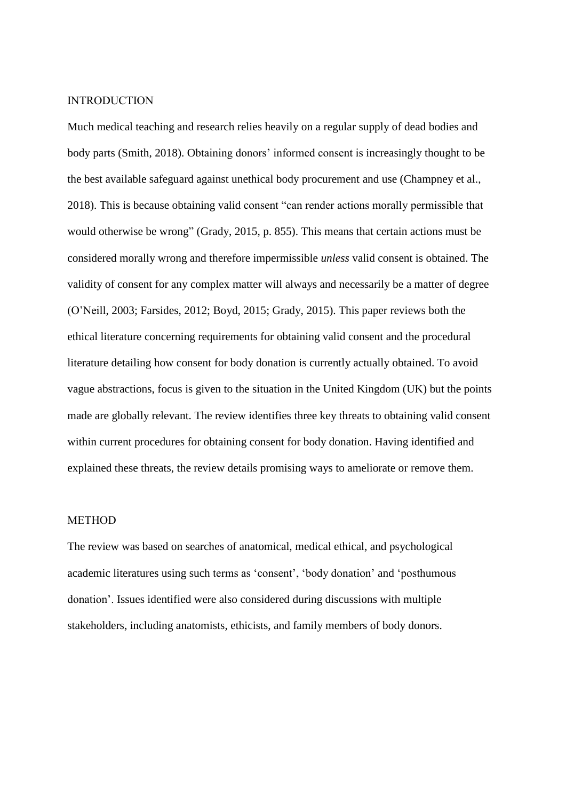#### INTRODUCTION

Much medical teaching and research relies heavily on a regular supply of dead bodies and body parts (Smith, 2018). Obtaining donors' informed consent is increasingly thought to be the best available safeguard against unethical body procurement and use (Champney et al., 2018). This is because obtaining valid consent "can render actions morally permissible that would otherwise be wrong" (Grady, 2015, p. 855). This means that certain actions must be considered morally wrong and therefore impermissible *unless* valid consent is obtained. The validity of consent for any complex matter will always and necessarily be a matter of degree (O'Neill, 2003; Farsides, 2012; Boyd, 2015; Grady, 2015). This paper reviews both the ethical literature concerning requirements for obtaining valid consent and the procedural literature detailing how consent for body donation is currently actually obtained. To avoid vague abstractions, focus is given to the situation in the United Kingdom (UK) but the points made are globally relevant. The review identifies three key threats to obtaining valid consent within current procedures for obtaining consent for body donation. Having identified and explained these threats, the review details promising ways to ameliorate or remove them.

# **METHOD**

The review was based on searches of anatomical, medical ethical, and psychological academic literatures using such terms as 'consent', 'body donation' and 'posthumous donation'. Issues identified were also considered during discussions with multiple stakeholders, including anatomists, ethicists, and family members of body donors.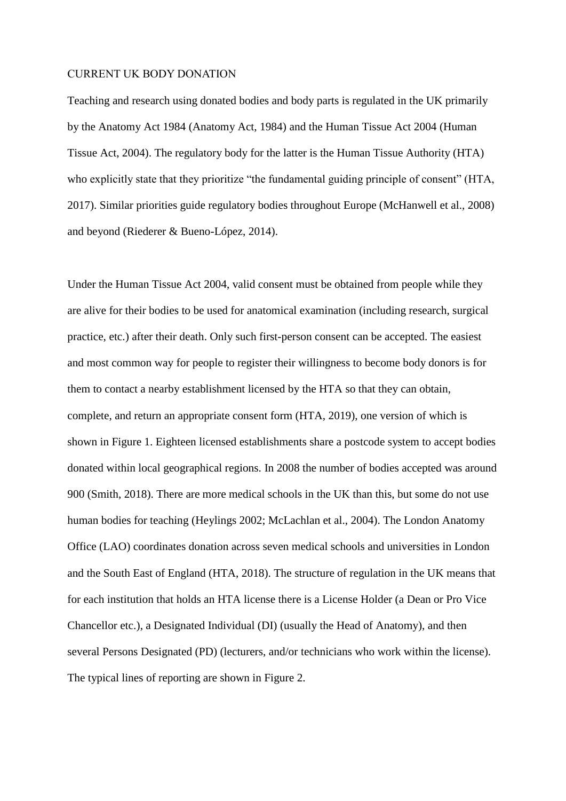#### CURRENT UK BODY DONATION

Teaching and research using donated bodies and body parts is regulated in the UK primarily by the Anatomy Act 1984 (Anatomy Act, 1984) and the Human Tissue Act 2004 (Human Tissue Act, 2004). The regulatory body for the latter is the Human Tissue Authority (HTA) who explicitly state that they prioritize "the fundamental guiding principle of consent" (HTA, 2017). Similar priorities guide regulatory bodies throughout Europe (McHanwell et al., 2008) and beyond (Riederer & Bueno-López, 2014).

Under the Human Tissue Act 2004, valid consent must be obtained from people while they are alive for their bodies to be used for anatomical examination (including research, surgical practice, etc.) after their death. Only such first-person consent can be accepted. The easiest and most common way for people to register their willingness to become body donors is for them to contact a nearby establishment licensed by the HTA so that they can obtain, complete, and return an appropriate consent form (HTA, 2019), one version of which is shown in Figure 1. Eighteen licensed establishments share a postcode system to accept bodies donated within local geographical regions. In 2008 the number of bodies accepted was around 900 (Smith, 2018). There are more medical schools in the UK than this, but some do not use human bodies for teaching (Heylings 2002; McLachlan et al., 2004). The London Anatomy Office (LAO) coordinates donation across seven medical schools and universities in London and the South East of England (HTA, 2018). The structure of regulation in the UK means that for each institution that holds an HTA license there is a License Holder (a Dean or Pro Vice Chancellor etc.), a Designated Individual (DI) (usually the Head of Anatomy), and then several Persons Designated (PD) (lecturers, and/or technicians who work within the license). The typical lines of reporting are shown in Figure 2.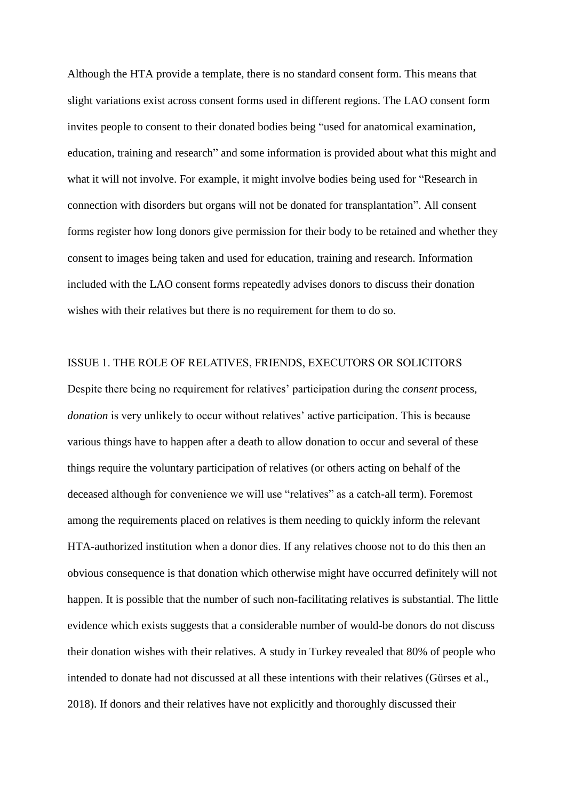Although the HTA provide a template, there is no standard consent form. This means that slight variations exist across consent forms used in different regions. The LAO consent form invites people to consent to their donated bodies being "used for anatomical examination, education, training and research" and some information is provided about what this might and what it will not involve. For example, it might involve bodies being used for "Research in connection with disorders but organs will not be donated for transplantation". All consent forms register how long donors give permission for their body to be retained and whether they consent to images being taken and used for education, training and research. Information included with the LAO consent forms repeatedly advises donors to discuss their donation wishes with their relatives but there is no requirement for them to do so.

#### ISSUE 1. THE ROLE OF RELATIVES, FRIENDS, EXECUTORS OR SOLICITORS

Despite there being no requirement for relatives' participation during the *consent* process, *donation* is very unlikely to occur without relatives' active participation. This is because various things have to happen after a death to allow donation to occur and several of these things require the voluntary participation of relatives (or others acting on behalf of the deceased although for convenience we will use "relatives" as a catch-all term). Foremost among the requirements placed on relatives is them needing to quickly inform the relevant HTA-authorized institution when a donor dies. If any relatives choose not to do this then an obvious consequence is that donation which otherwise might have occurred definitely will not happen. It is possible that the number of such non-facilitating relatives is substantial. The little evidence which exists suggests that a considerable number of would-be donors do not discuss their donation wishes with their relatives. A study in Turkey revealed that 80% of people who intended to donate had not discussed at all these intentions with their relatives (Gürses et al., 2018). If donors and their relatives have not explicitly and thoroughly discussed their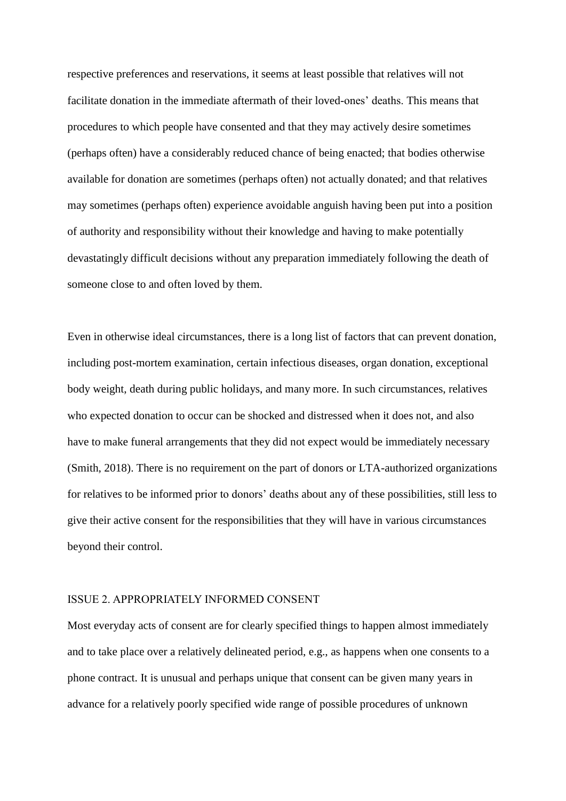respective preferences and reservations, it seems at least possible that relatives will not facilitate donation in the immediate aftermath of their loved-ones' deaths. This means that procedures to which people have consented and that they may actively desire sometimes (perhaps often) have a considerably reduced chance of being enacted; that bodies otherwise available for donation are sometimes (perhaps often) not actually donated; and that relatives may sometimes (perhaps often) experience avoidable anguish having been put into a position of authority and responsibility without their knowledge and having to make potentially devastatingly difficult decisions without any preparation immediately following the death of someone close to and often loved by them.

Even in otherwise ideal circumstances, there is a long list of factors that can prevent donation, including post-mortem examination, certain infectious diseases, organ donation, exceptional body weight, death during public holidays, and many more. In such circumstances, relatives who expected donation to occur can be shocked and distressed when it does not, and also have to make funeral arrangements that they did not expect would be immediately necessary (Smith, 2018). There is no requirement on the part of donors or LTA-authorized organizations for relatives to be informed prior to donors' deaths about any of these possibilities, still less to give their active consent for the responsibilities that they will have in various circumstances beyond their control.

# ISSUE 2. APPROPRIATELY INFORMED CONSENT

Most everyday acts of consent are for clearly specified things to happen almost immediately and to take place over a relatively delineated period, e.g., as happens when one consents to a phone contract. It is unusual and perhaps unique that consent can be given many years in advance for a relatively poorly specified wide range of possible procedures of unknown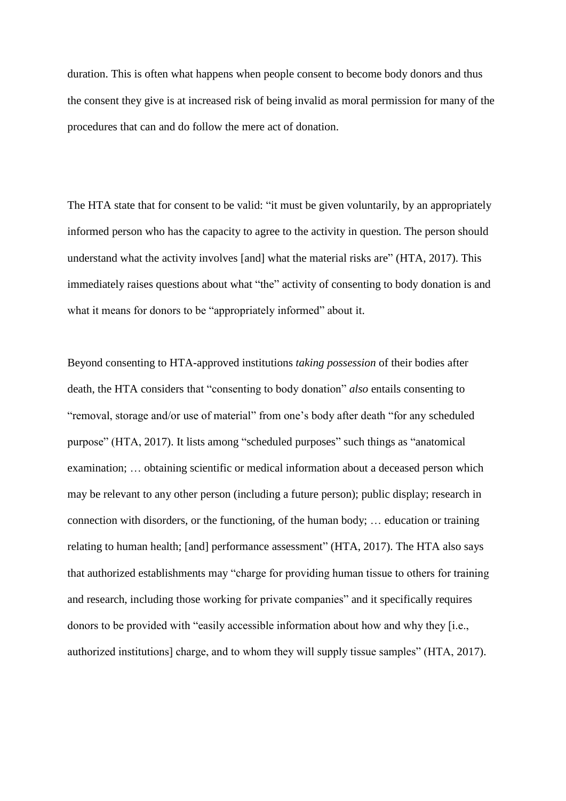duration. This is often what happens when people consent to become body donors and thus the consent they give is at increased risk of being invalid as moral permission for many of the procedures that can and do follow the mere act of donation.

The HTA state that for consent to be valid: "it must be given voluntarily, by an appropriately informed person who has the capacity to agree to the activity in question. The person should understand what the activity involves [and] what the material risks are" (HTA, 2017). This immediately raises questions about what "the" activity of consenting to body donation is and what it means for donors to be "appropriately informed" about it.

Beyond consenting to HTA-approved institutions *taking possession* of their bodies after death, the HTA considers that "consenting to body donation" *also* entails consenting to "removal, storage and/or use of material" from one's body after death "for any scheduled purpose" (HTA, 2017). It lists among "scheduled purposes" such things as "anatomical examination; … obtaining scientific or medical information about a deceased person which may be relevant to any other person (including a future person); public display; research in connection with disorders, or the functioning, of the human body; … education or training relating to human health; [and] performance assessment" (HTA, 2017). The HTA also says that authorized establishments may "charge for providing human tissue to others for training and research, including those working for private companies" and it specifically requires donors to be provided with "easily accessible information about how and why they [i.e., authorized institutions] charge, and to whom they will supply tissue samples" (HTA, 2017).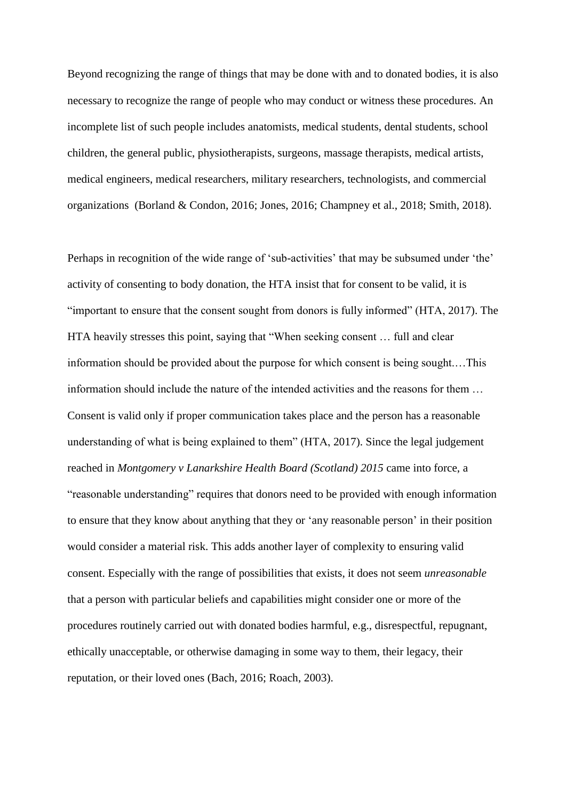Beyond recognizing the range of things that may be done with and to donated bodies, it is also necessary to recognize the range of people who may conduct or witness these procedures. An incomplete list of such people includes anatomists, medical students, dental students, school children, the general public, physiotherapists, surgeons, massage therapists, medical artists, medical engineers, medical researchers, military researchers, technologists, and commercial organizations (Borland & Condon, 2016; Jones, 2016; Champney et al., 2018; Smith, 2018).

Perhaps in recognition of the wide range of 'sub-activities' that may be subsumed under 'the' activity of consenting to body donation, the HTA insist that for consent to be valid, it is "important to ensure that the consent sought from donors is fully informed" (HTA, 2017). The HTA heavily stresses this point, saying that "When seeking consent … full and clear information should be provided about the purpose for which consent is being sought.…This information should include the nature of the intended activities and the reasons for them … Consent is valid only if proper communication takes place and the person has a reasonable understanding of what is being explained to them" (HTA, 2017). Since the legal judgement reached in *Montgomery v Lanarkshire Health Board (Scotland) 2015* came into force, a "reasonable understanding" requires that donors need to be provided with enough information to ensure that they know about anything that they or 'any reasonable person' in their position would consider a material risk. This adds another layer of complexity to ensuring valid consent. Especially with the range of possibilities that exists, it does not seem *unreasonable* that a person with particular beliefs and capabilities might consider one or more of the procedures routinely carried out with donated bodies harmful, e.g., disrespectful, repugnant, ethically unacceptable, or otherwise damaging in some way to them, their legacy, their reputation, or their loved ones (Bach, 2016; Roach, 2003).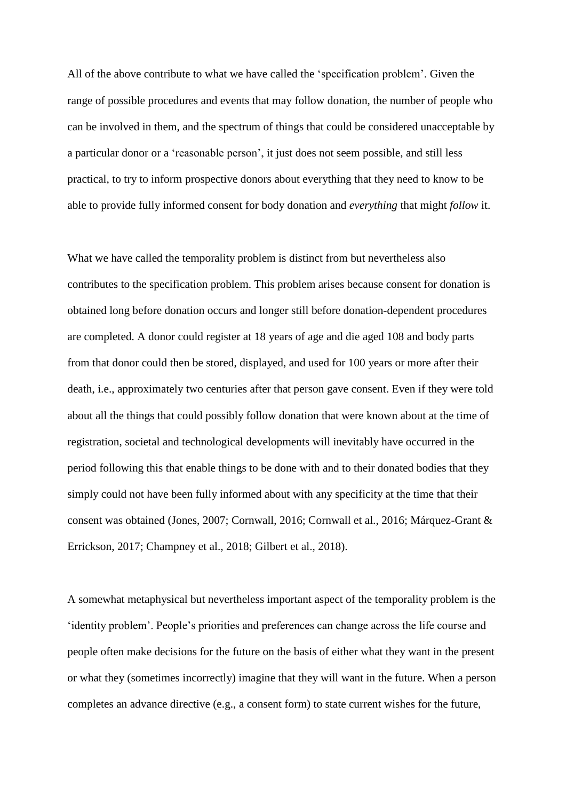All of the above contribute to what we have called the 'specification problem'. Given the range of possible procedures and events that may follow donation, the number of people who can be involved in them, and the spectrum of things that could be considered unacceptable by a particular donor or a 'reasonable person', it just does not seem possible, and still less practical, to try to inform prospective donors about everything that they need to know to be able to provide fully informed consent for body donation and *everything* that might *follow* it.

What we have called the temporality problem is distinct from but nevertheless also contributes to the specification problem. This problem arises because consent for donation is obtained long before donation occurs and longer still before donation-dependent procedures are completed. A donor could register at 18 years of age and die aged 108 and body parts from that donor could then be stored, displayed, and used for 100 years or more after their death, i.e., approximately two centuries after that person gave consent. Even if they were told about all the things that could possibly follow donation that were known about at the time of registration, societal and technological developments will inevitably have occurred in the period following this that enable things to be done with and to their donated bodies that they simply could not have been fully informed about with any specificity at the time that their consent was obtained (Jones, 2007; Cornwall, 2016; Cornwall et al., 2016; Márquez-Grant & Errickson, 2017; Champney et al., 2018; Gilbert et al., 2018).

A somewhat metaphysical but nevertheless important aspect of the temporality problem is the 'identity problem'. People's priorities and preferences can change across the life course and people often make decisions for the future on the basis of either what they want in the present or what they (sometimes incorrectly) imagine that they will want in the future. When a person completes an advance directive (e.g., a consent form) to state current wishes for the future,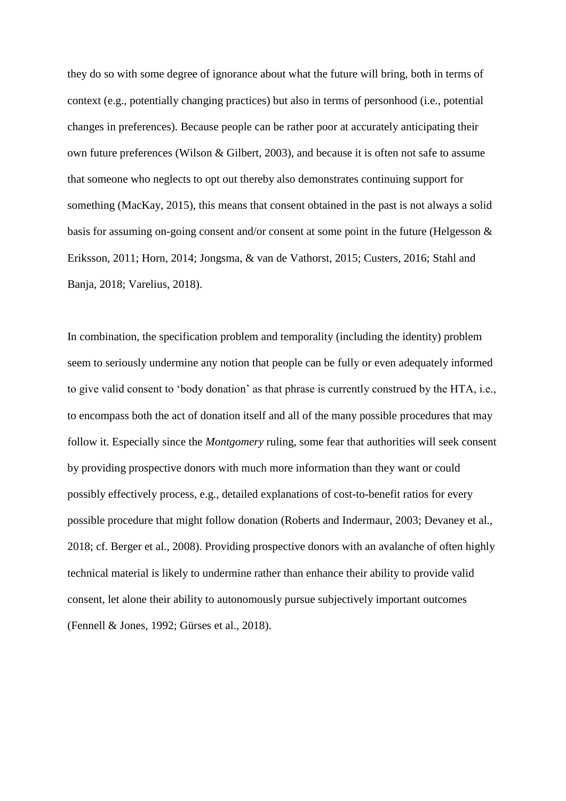they do so with some degree of ignorance about what the future will bring, both in terms of context (e.g., potentially changing practices) but also in terms of personhood (i.e., potential changes in preferences). Because people can be rather poor at accurately anticipating their own future preferences (Wilson & Gilbert, 2003), and because it is often not safe to assume that someone who neglects to opt out thereby also demonstrates continuing support for something (MacKay, 2015), this means that consent obtained in the past is not always a solid basis for assuming on-going consent and/or consent at some point in the future (Helgesson & Eriksson, 2011; Horn, 2014; Jongsma, & van de Vathorst, 2015; Custers, 2016; Stahl and Banja, 2018; Varelius, 2018).

In combination, the specification problem and temporality (including the identity) problem seem to seriously undermine any notion that people can be fully or even adequately informed to give valid consent to 'body donation' as that phrase is currently construed by the HTA, i.e., to encompass both the act of donation itself and all of the many possible procedures that may follow it. Especially since the *Montgomery* ruling, some fear that authorities will seek consent by providing prospective donors with much more information than they want or could possibly effectively process, e.g., detailed explanations of cost-to-benefit ratios for every possible procedure that might follow donation (Roberts and Indermaur, 2003; Devaney et al., 2018; cf. Berger et al., 2008). Providing prospective donors with an avalanche of often highly technical material is likely to undermine rather than enhance their ability to provide valid consent, let alone their ability to autonomously pursue subjectively important outcomes (Fennell & Jones, 1992; Gürses et al., 2018).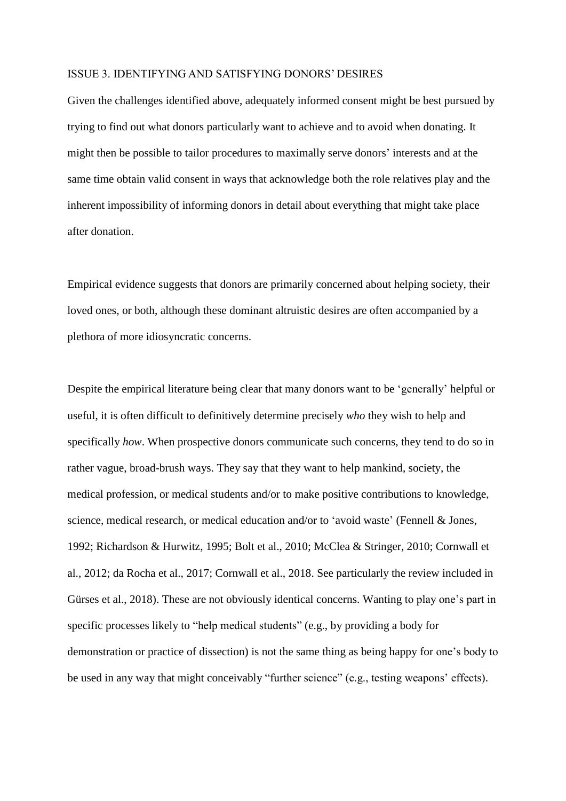#### ISSUE 3. IDENTIFYING AND SATISFYING DONORS' DESIRES

Given the challenges identified above, adequately informed consent might be best pursued by trying to find out what donors particularly want to achieve and to avoid when donating. It might then be possible to tailor procedures to maximally serve donors' interests and at the same time obtain valid consent in ways that acknowledge both the role relatives play and the inherent impossibility of informing donors in detail about everything that might take place after donation.

Empirical evidence suggests that donors are primarily concerned about helping society, their loved ones, or both, although these dominant altruistic desires are often accompanied by a plethora of more idiosyncratic concerns.

Despite the empirical literature being clear that many donors want to be 'generally' helpful or useful, it is often difficult to definitively determine precisely *who* they wish to help and specifically *how*. When prospective donors communicate such concerns, they tend to do so in rather vague, broad-brush ways. They say that they want to help mankind, society, the medical profession, or medical students and/or to make positive contributions to knowledge, science, medical research, or medical education and/or to 'avoid waste' (Fennell & Jones, 1992; Richardson & Hurwitz, 1995; Bolt et al., 2010; McClea & Stringer, 2010; Cornwall et al., 2012; da Rocha et al., 2017; Cornwall et al., 2018. See particularly the review included in Gürses et al., 2018). These are not obviously identical concerns. Wanting to play one's part in specific processes likely to "help medical students" (e.g., by providing a body for demonstration or practice of dissection) is not the same thing as being happy for one's body to be used in any way that might conceivably "further science" (e.g., testing weapons' effects).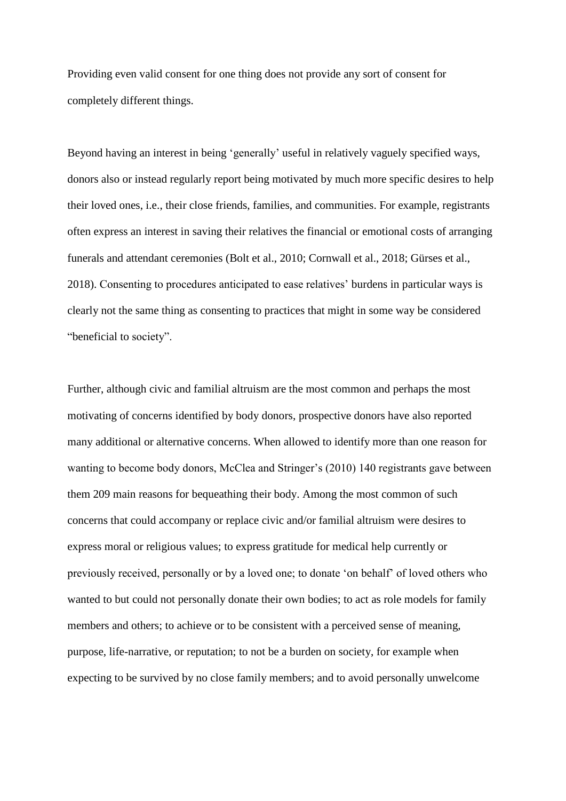Providing even valid consent for one thing does not provide any sort of consent for completely different things.

Beyond having an interest in being 'generally' useful in relatively vaguely specified ways, donors also or instead regularly report being motivated by much more specific desires to help their loved ones, i.e., their close friends, families, and communities. For example, registrants often express an interest in saving their relatives the financial or emotional costs of arranging funerals and attendant ceremonies (Bolt et al., 2010; Cornwall et al., 2018; Gürses et al., 2018). Consenting to procedures anticipated to ease relatives' burdens in particular ways is clearly not the same thing as consenting to practices that might in some way be considered "beneficial to society".

Further, although civic and familial altruism are the most common and perhaps the most motivating of concerns identified by body donors, prospective donors have also reported many additional or alternative concerns. When allowed to identify more than one reason for wanting to become body donors, McClea and Stringer's (2010) 140 registrants gave between them 209 main reasons for bequeathing their body. Among the most common of such concerns that could accompany or replace civic and/or familial altruism were desires to express moral or religious values; to express gratitude for medical help currently or previously received, personally or by a loved one; to donate 'on behalf' of loved others who wanted to but could not personally donate their own bodies; to act as role models for family members and others; to achieve or to be consistent with a perceived sense of meaning, purpose, life-narrative, or reputation; to not be a burden on society, for example when expecting to be survived by no close family members; and to avoid personally unwelcome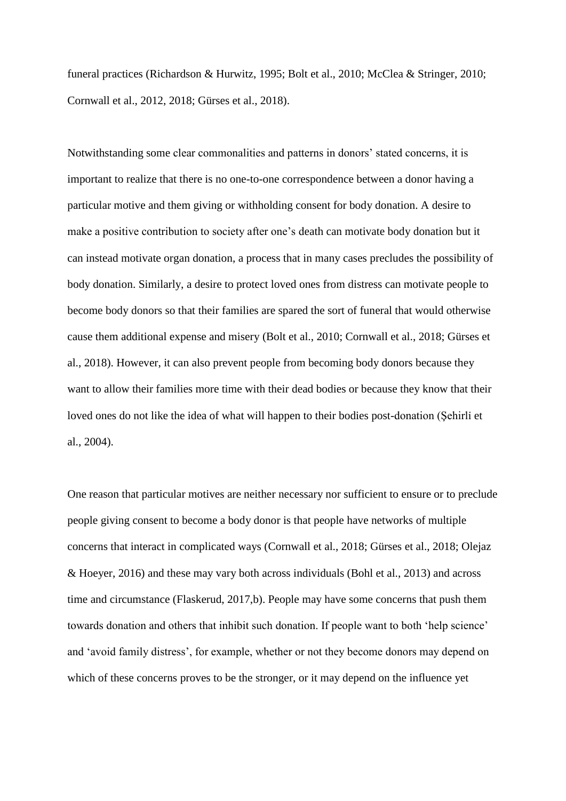funeral practices (Richardson & Hurwitz, 1995; Bolt et al., 2010; McClea & Stringer, 2010; Cornwall et al., 2012, 2018; Gürses et al., 2018).

Notwithstanding some clear commonalities and patterns in donors' stated concerns, it is important to realize that there is no one-to-one correspondence between a donor having a particular motive and them giving or withholding consent for body donation. A desire to make a positive contribution to society after one's death can motivate body donation but it can instead motivate organ donation, a process that in many cases precludes the possibility of body donation. Similarly, a desire to protect loved ones from distress can motivate people to become body donors so that their families are spared the sort of funeral that would otherwise cause them additional expense and misery (Bolt et al., 2010; Cornwall et al., 2018; Gürses et al., 2018). However, it can also prevent people from becoming body donors because they want to allow their families more time with their dead bodies or because they know that their loved ones do not like the idea of what will happen to their bodies post-donation (Şehirli̇ et al., 2004).

One reason that particular motives are neither necessary nor sufficient to ensure or to preclude people giving consent to become a body donor is that people have networks of multiple concerns that interact in complicated ways (Cornwall et al., 2018; Gürses et al., 2018; Olejaz & Hoeyer, 2016) and these may vary both across individuals (Bohl et al., 2013) and across time and circumstance (Flaskerud, 2017,b). People may have some concerns that push them towards donation and others that inhibit such donation. If people want to both 'help science' and 'avoid family distress', for example, whether or not they become donors may depend on which of these concerns proves to be the stronger, or it may depend on the influence yet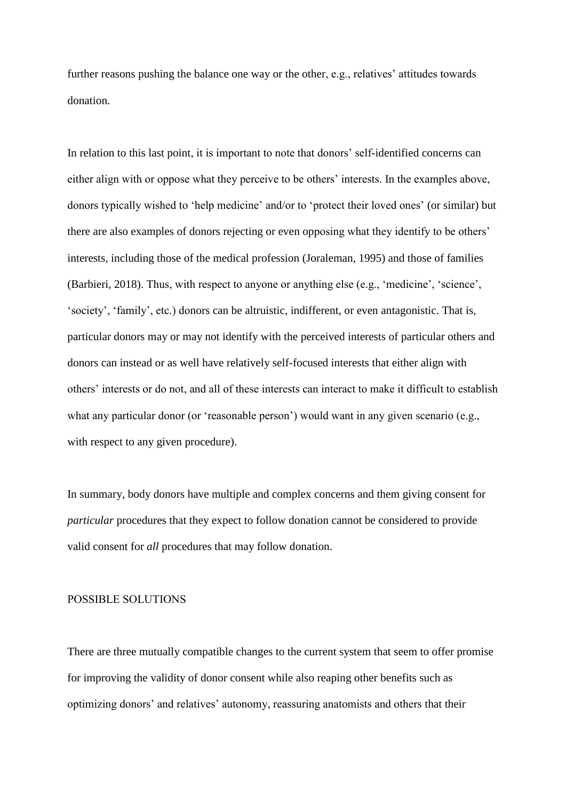further reasons pushing the balance one way or the other, e.g., relatives' attitudes towards donation.

In relation to this last point, it is important to note that donors' self-identified concerns can either align with or oppose what they perceive to be others' interests. In the examples above, donors typically wished to 'help medicine' and/or to 'protect their loved ones' (or similar) but there are also examples of donors rejecting or even opposing what they identify to be others' interests, including those of the medical profession (Joraleman, 1995) and those of families (Barbieri, 2018). Thus, with respect to anyone or anything else (e.g., 'medicine', 'science', 'society', 'family', etc.) donors can be altruistic, indifferent, or even antagonistic. That is, particular donors may or may not identify with the perceived interests of particular others and donors can instead or as well have relatively self-focused interests that either align with others' interests or do not, and all of these interests can interact to make it difficult to establish what any particular donor (or 'reasonable person') would want in any given scenario (e.g., with respect to any given procedure).

In summary, body donors have multiple and complex concerns and them giving consent for *particular* procedures that they expect to follow donation cannot be considered to provide valid consent for *all* procedures that may follow donation.

#### POSSIBLE SOLUTIONS

There are three mutually compatible changes to the current system that seem to offer promise for improving the validity of donor consent while also reaping other benefits such as optimizing donors' and relatives' autonomy, reassuring anatomists and others that their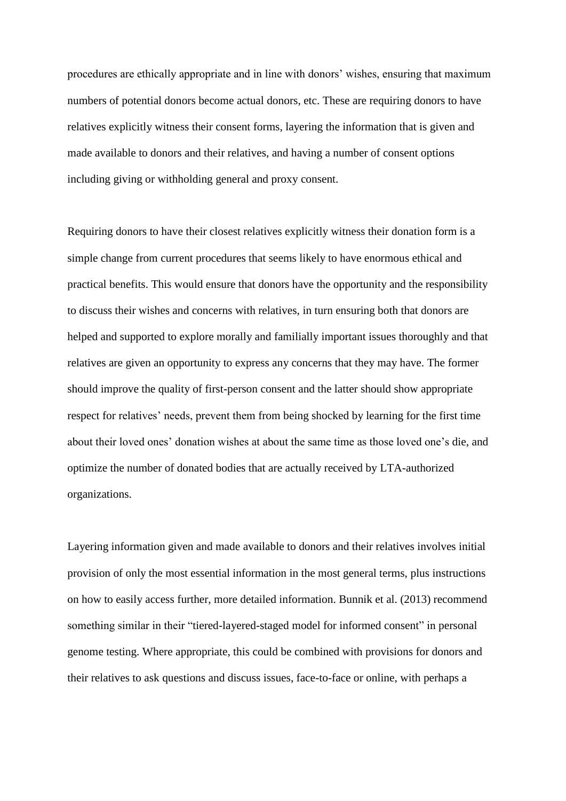procedures are ethically appropriate and in line with donors' wishes, ensuring that maximum numbers of potential donors become actual donors, etc. These are requiring donors to have relatives explicitly witness their consent forms, layering the information that is given and made available to donors and their relatives, and having a number of consent options including giving or withholding general and proxy consent.

Requiring donors to have their closest relatives explicitly witness their donation form is a simple change from current procedures that seems likely to have enormous ethical and practical benefits. This would ensure that donors have the opportunity and the responsibility to discuss their wishes and concerns with relatives, in turn ensuring both that donors are helped and supported to explore morally and familially important issues thoroughly and that relatives are given an opportunity to express any concerns that they may have. The former should improve the quality of first-person consent and the latter should show appropriate respect for relatives' needs, prevent them from being shocked by learning for the first time about their loved ones' donation wishes at about the same time as those loved one's die, and optimize the number of donated bodies that are actually received by LTA-authorized organizations.

Layering information given and made available to donors and their relatives involves initial provision of only the most essential information in the most general terms, plus instructions on how to easily access further, more detailed information. Bunnik et al. (2013) recommend something similar in their "tiered-layered-staged model for informed consent" in personal genome testing. Where appropriate, this could be combined with provisions for donors and their relatives to ask questions and discuss issues, face-to-face or online, with perhaps a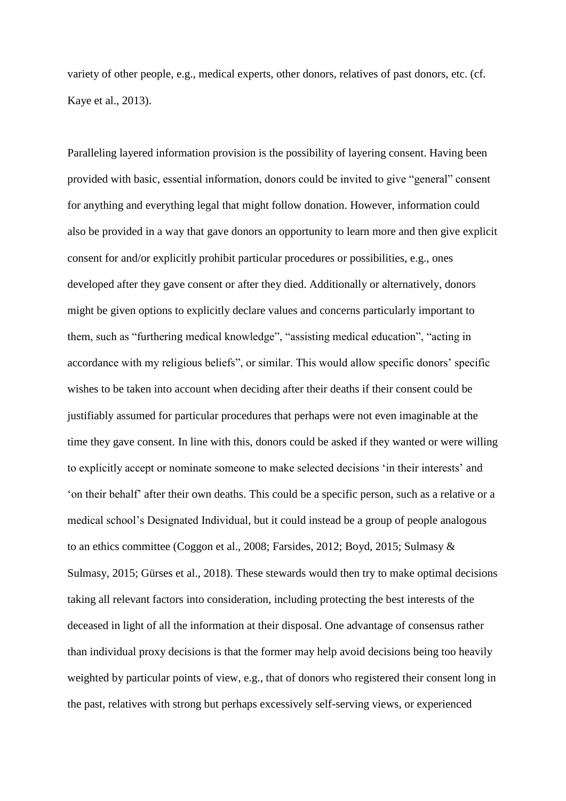variety of other people, e.g., medical experts, other donors, relatives of past donors, etc. (cf. Kaye et al., 2013).

Paralleling layered information provision is the possibility of layering consent. Having been provided with basic, essential information, donors could be invited to give "general" consent for anything and everything legal that might follow donation. However, information could also be provided in a way that gave donors an opportunity to learn more and then give explicit consent for and/or explicitly prohibit particular procedures or possibilities, e.g., ones developed after they gave consent or after they died. Additionally or alternatively, donors might be given options to explicitly declare values and concerns particularly important to them, such as "furthering medical knowledge", "assisting medical education", "acting in accordance with my religious beliefs", or similar. This would allow specific donors' specific wishes to be taken into account when deciding after their deaths if their consent could be justifiably assumed for particular procedures that perhaps were not even imaginable at the time they gave consent. In line with this, donors could be asked if they wanted or were willing to explicitly accept or nominate someone to make selected decisions 'in their interests' and 'on their behalf' after their own deaths. This could be a specific person, such as a relative or a medical school's Designated Individual, but it could instead be a group of people analogous to an ethics committee (Coggon et al., 2008; Farsides, 2012; Boyd, 2015; Sulmasy & Sulmasy, 2015; Gürses et al., 2018). These stewards would then try to make optimal decisions taking all relevant factors into consideration, including protecting the best interests of the deceased in light of all the information at their disposal. One advantage of consensus rather than individual proxy decisions is that the former may help avoid decisions being too heavily weighted by particular points of view, e.g., that of donors who registered their consent long in the past, relatives with strong but perhaps excessively self-serving views, or experienced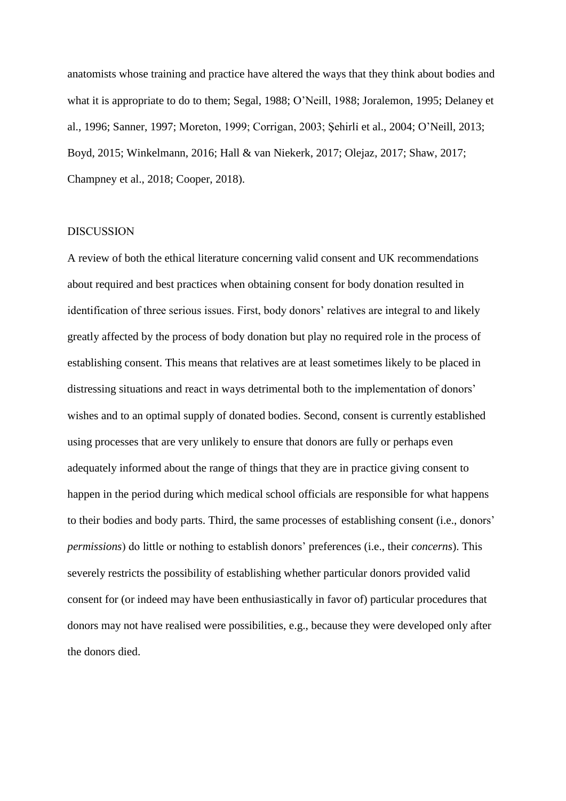anatomists whose training and practice have altered the ways that they think about bodies and what it is appropriate to do to them; Segal, 1988; O'Neill, 1988; Joralemon, 1995; Delaney et al., 1996; Sanner, 1997; Moreton, 1999; Corrigan, 2003; Şehirli̇ et al., 2004; O'Neill, 2013; Boyd, 2015; Winkelmann, 2016; Hall & van Niekerk, 2017; Olejaz, 2017; Shaw, 2017; Champney et al., 2018; Cooper, 2018).

#### DISCUSSION

A review of both the ethical literature concerning valid consent and UK recommendations about required and best practices when obtaining consent for body donation resulted in identification of three serious issues. First, body donors' relatives are integral to and likely greatly affected by the process of body donation but play no required role in the process of establishing consent. This means that relatives are at least sometimes likely to be placed in distressing situations and react in ways detrimental both to the implementation of donors' wishes and to an optimal supply of donated bodies. Second, consent is currently established using processes that are very unlikely to ensure that donors are fully or perhaps even adequately informed about the range of things that they are in practice giving consent to happen in the period during which medical school officials are responsible for what happens to their bodies and body parts. Third, the same processes of establishing consent (i.e., donors' *permissions*) do little or nothing to establish donors' preferences (i.e., their *concerns*). This severely restricts the possibility of establishing whether particular donors provided valid consent for (or indeed may have been enthusiastically in favor of) particular procedures that donors may not have realised were possibilities, e.g., because they were developed only after the donors died.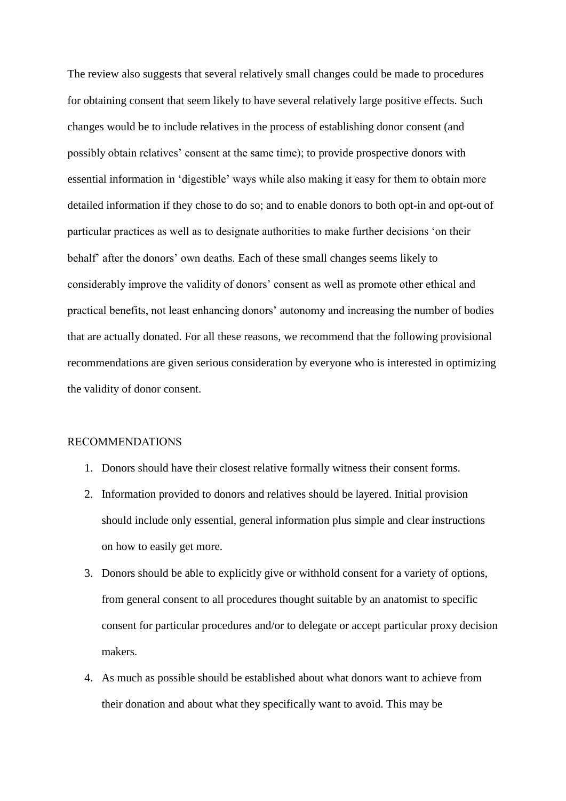The review also suggests that several relatively small changes could be made to procedures for obtaining consent that seem likely to have several relatively large positive effects. Such changes would be to include relatives in the process of establishing donor consent (and possibly obtain relatives' consent at the same time); to provide prospective donors with essential information in 'digestible' ways while also making it easy for them to obtain more detailed information if they chose to do so; and to enable donors to both opt-in and opt-out of particular practices as well as to designate authorities to make further decisions 'on their behalf' after the donors' own deaths. Each of these small changes seems likely to considerably improve the validity of donors' consent as well as promote other ethical and practical benefits, not least enhancing donors' autonomy and increasing the number of bodies that are actually donated. For all these reasons, we recommend that the following provisional recommendations are given serious consideration by everyone who is interested in optimizing the validity of donor consent.

## RECOMMENDATIONS

- 1. Donors should have their closest relative formally witness their consent forms.
- 2. Information provided to donors and relatives should be layered. Initial provision should include only essential, general information plus simple and clear instructions on how to easily get more.
- 3. Donors should be able to explicitly give or withhold consent for a variety of options, from general consent to all procedures thought suitable by an anatomist to specific consent for particular procedures and/or to delegate or accept particular proxy decision makers.
- 4. As much as possible should be established about what donors want to achieve from their donation and about what they specifically want to avoid. This may be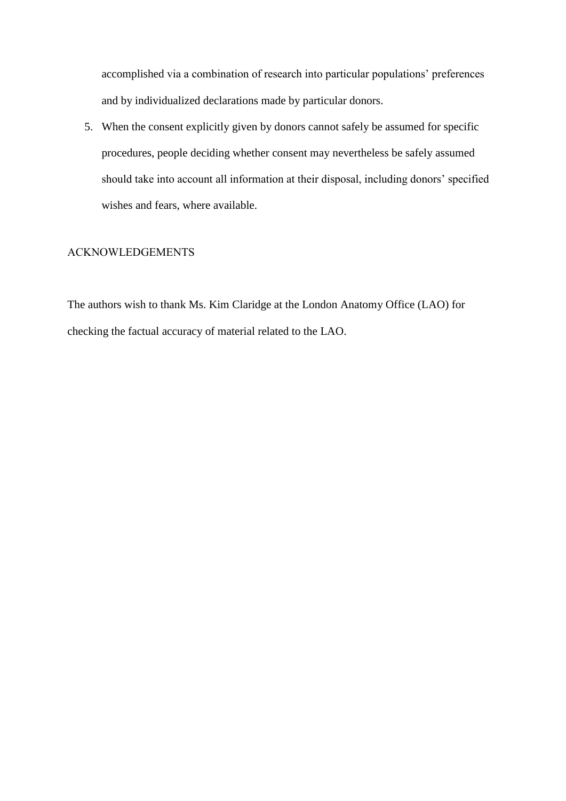accomplished via a combination of research into particular populations' preferences and by individualized declarations made by particular donors.

5. When the consent explicitly given by donors cannot safely be assumed for specific procedures, people deciding whether consent may nevertheless be safely assumed should take into account all information at their disposal, including donors' specified wishes and fears, where available.

# ACKNOWLEDGEMENTS

The authors wish to thank Ms. Kim Claridge at the London Anatomy Office (LAO) for checking the factual accuracy of material related to the LAO.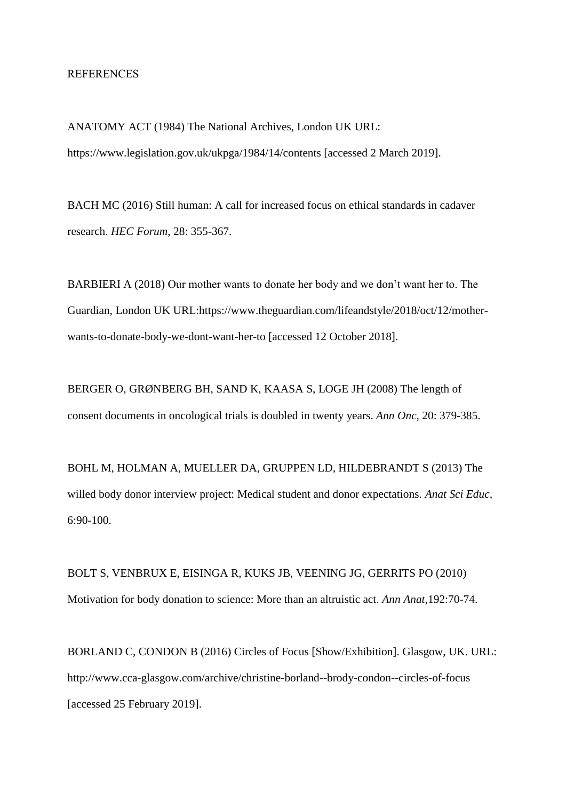#### REFERENCES

ANATOMY ACT (1984) The National Archives, London UK URL: https://www.legislation.gov.uk/ukpga/1984/14/contents [accessed 2 March 2019].

BACH MC (2016) Still human: A call for increased focus on ethical standards in cadaver research. *HEC Forum*, 28: 355-367.

BARBIERI A (2018) Our mother wants to donate her body and we don't want her to. The Guardian, London UK URL:https://www.theguardian.com/lifeandstyle/2018/oct/12/motherwants-to-donate-body-we-dont-want-her-to [accessed 12 October 2018].

BERGER O, GRØNBERG BH, SAND K, KAASA S, LOGE JH (2008) The length of consent documents in oncological trials is doubled in twenty years. *Ann Onc*, 20: 379-385.

BOHL M, HOLMAN A, MUELLER DA, GRUPPEN LD, HILDEBRANDT S (2013) The willed body donor interview project: Medical student and donor expectations. *Anat Sci Educ,* 6:90-100.

BOLT S, VENBRUX E, EISINGA R, KUKS JB, VEENING JG, GERRITS PO (2010) Motivation for body donation to science: More than an altruistic act. *Ann Anat*,192:70-74.

BORLAND C, CONDON B (2016) Circles of Focus [Show/Exhibition]. Glasgow, UK. URL: http://www.cca-glasgow.com/archive/christine-borland--brody-condon--circles-of-focus [accessed 25 February 2019].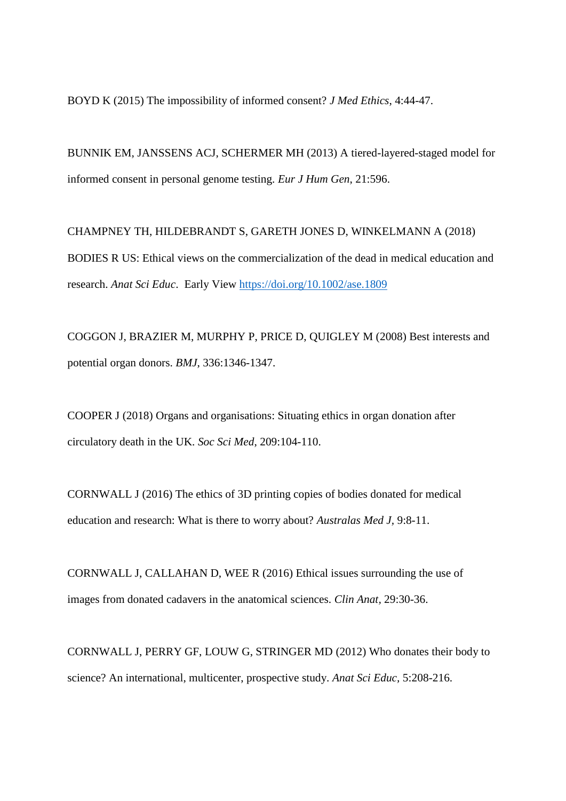BOYD K (2015) The impossibility of informed consent? *J Med Ethics*, 4:44-47.

BUNNIK EM, JANSSENS ACJ, SCHERMER MH (2013) A tiered-layered-staged model for informed consent in personal genome testing. *Eur J Hum Gen*, 21:596.

CHAMPNEY TH, HILDEBRANDT S, GARETH JONES D, WINKELMANN A (2018) BODIES R US: Ethical views on the commercialization of the dead in medical education and research. *Anat Sci Educ*. Early View<https://doi.org/10.1002/ase.1809>

COGGON J, BRAZIER M, MURPHY P, PRICE D, QUIGLEY M (2008) Best interests and potential organ donors. *BMJ*, 336:1346-1347.

COOPER J (2018) Organs and organisations: Situating ethics in organ donation after circulatory death in the UK. *Soc Sci Med*, 209:104-110.

CORNWALL J (2016) The ethics of 3D printing copies of bodies donated for medical education and research: What is there to worry about? *Australas Med J,* 9:8-11.

CORNWALL J, CALLAHAN D, WEE R (2016) Ethical issues surrounding the use of images from donated cadavers in the anatomical sciences. *Clin Anat,* 29:30-36.

CORNWALL J, PERRY GF, LOUW G, STRINGER MD (2012) Who donates their body to science? An international, multicenter, prospective study. *Anat Sci Educ,* 5:208-216.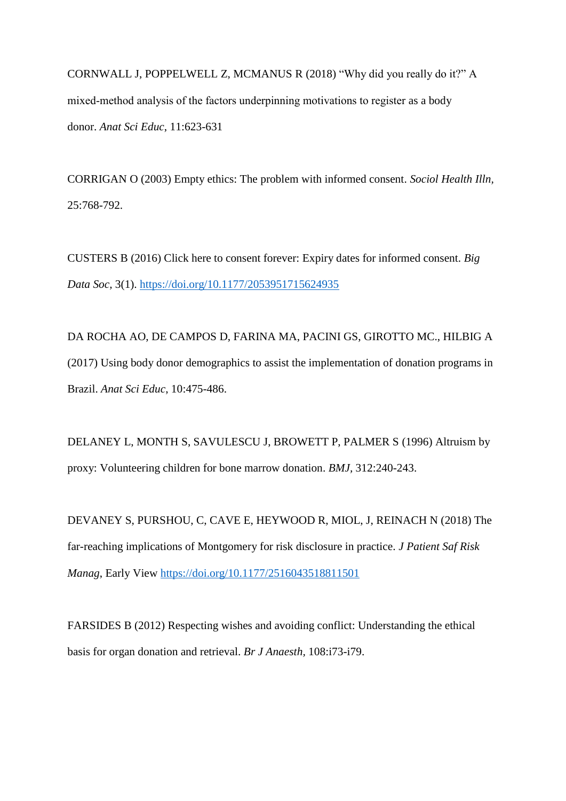CORNWALL J, POPPELWELL Z, MCMANUS R (2018) "Why did you really do it?" A mixed-method analysis of the factors underpinning motivations to register as a body donor. *Anat Sci Educ*, 11:623-631

CORRIGAN O (2003) Empty ethics: The problem with informed consent. *Sociol Health Illn,* 25:768-792.

CUSTERS B (2016) Click here to consent forever: Expiry dates for informed consent. *Big Data Soc,* 3(1). [https://doi.org/10.1177/2053951715624935](https://doi.org/10.1177%2F2053951715624935)

DA ROCHA AO, DE CAMPOS D, FARINA MA, PACINI GS, GIROTTO MC., HILBIG A (2017) Using body donor demographics to assist the implementation of donation programs in Brazil. *Anat Sci Educ*, 10:475-486.

DELANEY L, MONTH S, SAVULESCU J, BROWETT P, PALMER S (1996) Altruism by proxy: Volunteering children for bone marrow donation. *BMJ,* 312:240-243.

DEVANEY S, PURSHOU, C, CAVE E, HEYWOOD R, MIOL, J, REINACH N (2018) The far-reaching implications of Montgomery for risk disclosure in practice. *J Patient Saf Risk Manag*, Early View<https://doi.org/10.1177/2516043518811501>

FARSIDES B (2012) Respecting wishes and avoiding conflict: Understanding the ethical basis for organ donation and retrieval. *Br J Anaesth,* 108:i73-i79.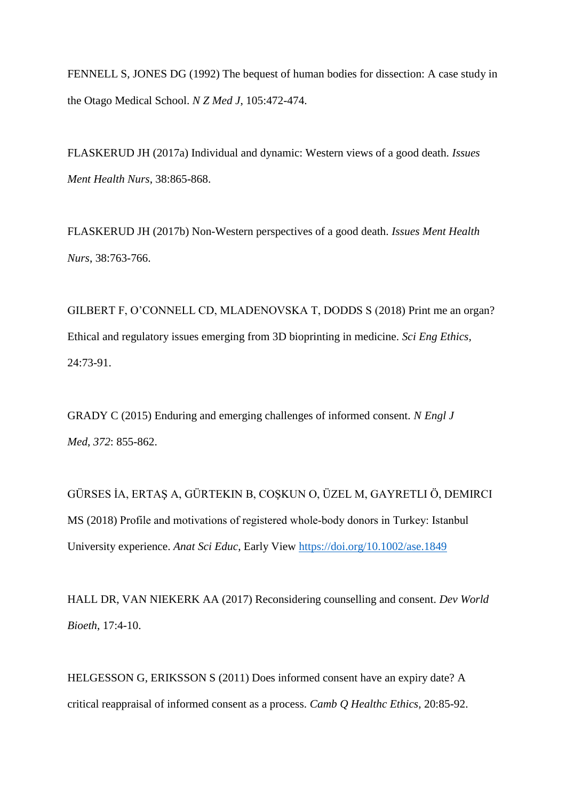FENNELL S, JONES DG (1992) The bequest of human bodies for dissection: A case study in the Otago Medical School. *N Z Med J*, 105:472-474.

FLASKERUD JH (2017a) Individual and dynamic: Western views of a good death. *Issues Ment Health Nurs*, 38:865-868.

FLASKERUD JH (2017b) Non-Western perspectives of a good death. *Issues Ment Health Nurs*, 38:763-766.

GILBERT F, O'CONNELL CD, MLADENOVSKA T, DODDS S (2018) Print me an organ? Ethical and regulatory issues emerging from 3D bioprinting in medicine. *Sci Eng Ethics,* 24:73-91.

GRADY C (2015) Enduring and emerging challenges of informed consent. *N Engl J Med*, *372*: 855-862.

GÜRSES İA, ERTAŞ A, GÜRTEKIN B, COŞKUN O, ÜZEL M, GAYRETLI Ö, DEMIRCI MS (2018) Profile and motivations of registered whole-body donors in Turkey: Istanbul University experience. *Anat Sci Educ*, Early View <https://doi.org/10.1002/ase.1849>

HALL DR, VAN NIEKERK AA (2017) Reconsidering counselling and consent. *Dev World Bioeth*, 17:4-10.

HELGESSON G, ERIKSSON S (2011) Does informed consent have an expiry date? A critical reappraisal of informed consent as a process. *Camb Q Healthc Ethics,* 20:85-92.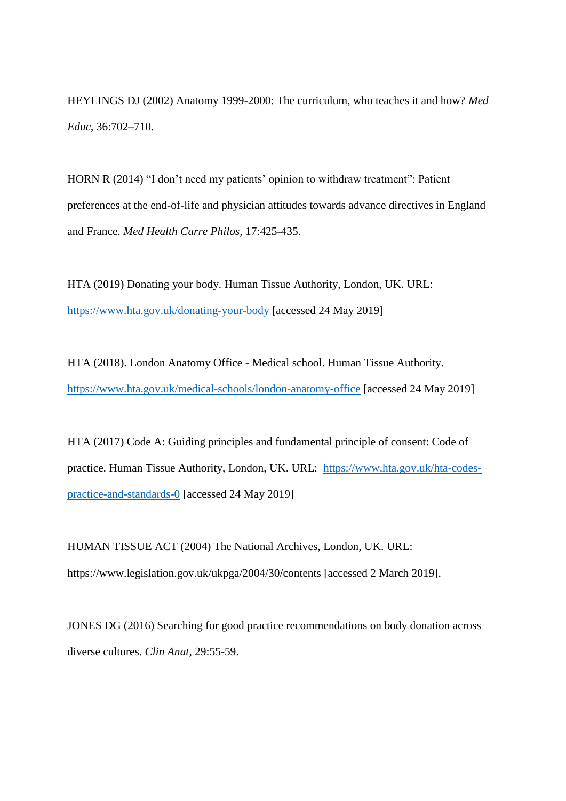HEYLINGS DJ (2002) Anatomy 1999-2000: The curriculum, who teaches it and how? *Med Educ*, 36:702–710.

HORN R (2014) "I don't need my patients' opinion to withdraw treatment": Patient preferences at the end-of-life and physician attitudes towards advance directives in England and France. *Med Health Carre Philos,* 17:425-435.

HTA (2019) Donating your body. Human Tissue Authority, London, UK. URL: <https://www.hta.gov.uk/donating-your-body> [accessed 24 May 2019]

HTA (2018). London Anatomy Office - Medical school. Human Tissue Authority. <https://www.hta.gov.uk/medical-schools/london-anatomy-office> [accessed 24 May 2019]

HTA (2017) Code A: Guiding principles and fundamental principle of consent: Code of practice. Human Tissue Authority, London, UK. URL: [https://www.hta.gov.uk/hta-codes](https://www.hta.gov.uk/hta-codes-practice-and-standards-0)[practice-and-standards-0](https://www.hta.gov.uk/hta-codes-practice-and-standards-0) [accessed 24 May 2019]

HUMAN TISSUE ACT (2004) The National Archives, London, UK. URL: https://www.legislation.gov.uk/ukpga/2004/30/contents [accessed 2 March 2019].

JONES DG (2016) Searching for good practice recommendations on body donation across diverse cultures. *Clin Anat,* 29:55-59.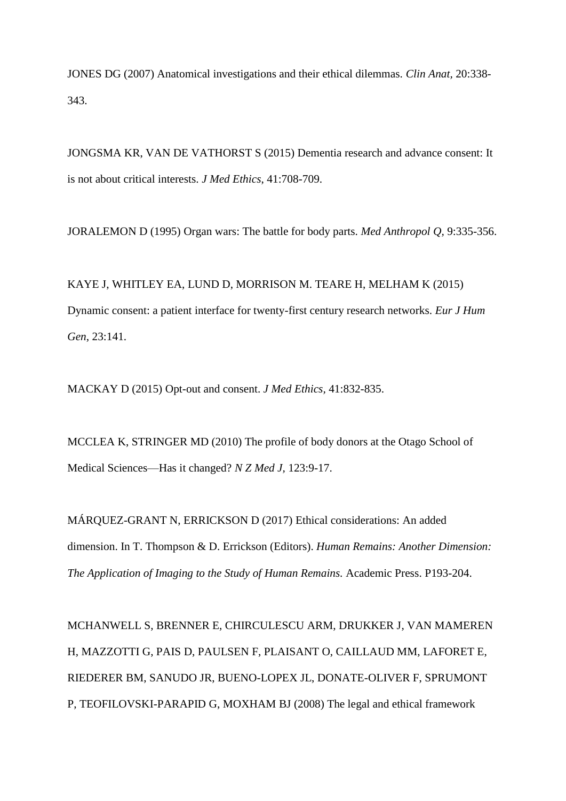JONES DG (2007) Anatomical investigations and their ethical dilemmas. *Clin Anat,* 20:338- 343.

JONGSMA KR, VAN DE VATHORST S (2015) Dementia research and advance consent: It is not about critical interests. *J Med Ethics*, 41:708-709.

JORALEMON D (1995) Organ wars: The battle for body parts. *Med Anthropol Q,* 9:335-356.

KAYE J, WHITLEY EA, LUND D, MORRISON M. TEARE H, MELHAM K (2015) Dynamic consent: a patient interface for twenty-first century research networks. *Eur J Hum Gen*, 23:141.

MACKAY D (2015) Opt-out and consent. *J Med Ethics,* 41:832-835.

MCCLEA K, STRINGER MD (2010) The profile of body donors at the Otago School of Medical Sciences—Has it changed? *N Z Med J,* 123:9-17.

MÁRQUEZ-GRANT N, ERRICKSON D (2017) Ethical considerations: An added dimension. In T. Thompson & D. Errickson (Editors). *Human Remains: Another Dimension: The Application of Imaging to the Study of Human Remains.* Academic Press. P193-204.

MCHANWELL S, BRENNER E, CHIRCULESCU ARM, DRUKKER J, VAN MAMEREN H, MAZZOTTI G, PAIS D, PAULSEN F, PLAISANT O, CAILLAUD MM, LAFORET E, RIEDERER BM, SANUDO JR, BUENO-LOPEX JL, DONATE-OLIVER F, SPRUMONT P, TEOFILOVSKI-PARAPID G, MOXHAM BJ (2008) The legal and ethical framework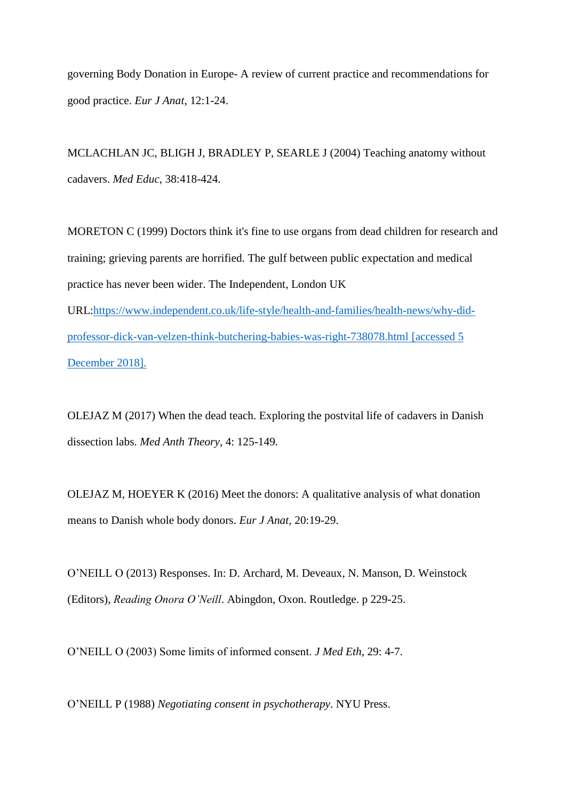governing Body Donation in Europe- A review of current practice and recommendations for good practice. *Eur J Anat*, 12:1-24.

MCLACHLAN JC, BLIGH J, BRADLEY P, SEARLE J (2004) Teaching anatomy without cadavers. *Med Educ*, 38:418-424.

MORETON C (1999) Doctors think it's fine to use organs from dead children for research and training; grieving parents are horrified. The gulf between public expectation and medical practice has never been wider. The Independent, London UK URL[:https://www.independent.co.uk/life-style/health-and-families/health-news/why-did](https://www.independent.co.uk/life-style/health-and-families/health-news/why-did-professor-dick-van-velzen-think-butchering-babies-was-right-738078.html)[professor-dick-van-velzen-think-butchering-babies-was-right-738078.html](https://www.independent.co.uk/life-style/health-and-families/health-news/why-did-professor-dick-van-velzen-think-butchering-babies-was-right-738078.html) [accessed 5 December 2018].

OLEJAZ M (2017) When the dead teach. Exploring the postvital life of cadavers in Danish dissection labs. *Med Anth Theory*, 4: 125-149.

OLEJAZ M, HOEYER K (2016) Meet the donors: A qualitative analysis of what donation means to Danish whole body donors. *Eur J Anat,* 20:19-29.

O'NEILL O (2013) Responses. In: D. Archard, M. Deveaux, N. Manson, D. Weinstock (Editors), *Reading Onora O'Neill*. Abingdon, Oxon. Routledge. p 229-25.

O'NEILL O (2003) Some limits of informed consent. *J Med Eth*, 29: 4-7.

O'NEILL P (1988) *Negotiating consent in psychotherapy*. NYU Press.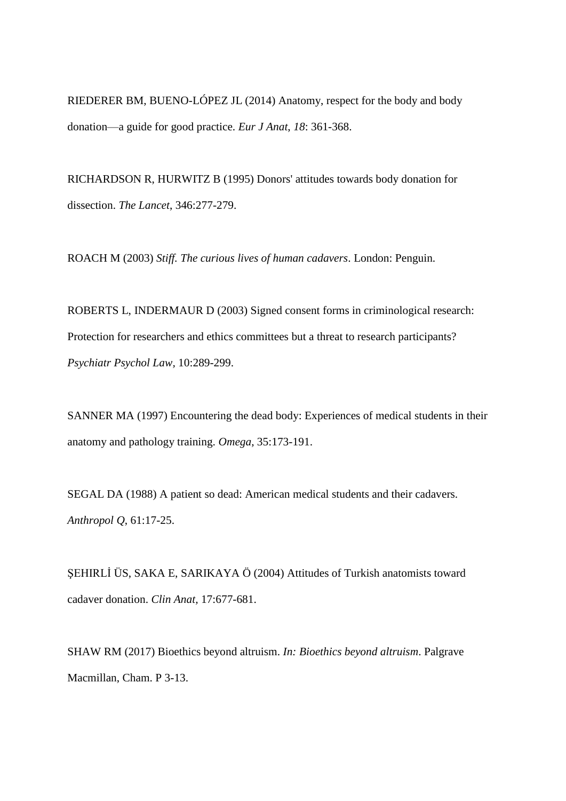RIEDERER BM, BUENO-LÓPEZ JL (2014) Anatomy, respect for the body and body donation—a guide for good practice. *Eur J Anat*, *18*: 361-368.

RICHARDSON R, HURWITZ B (1995) Donors' attitudes towards body donation for dissection. *The Lancet*, 346:277-279.

ROACH M (2003) *Stiff. The curious lives of human cadavers*. London: Penguin.

ROBERTS L, INDERMAUR D (2003) Signed consent forms in criminological research: Protection for researchers and ethics committees but a threat to research participants? *Psychiatr Psychol Law,* 10:289-299.

SANNER MA (1997) Encountering the dead body: Experiences of medical students in their anatomy and pathology training. *Omega*, 35:173-191.

SEGAL DA (1988) A patient so dead: American medical students and their cadavers. *Anthropol Q*, 61:17-25.

ŞEHIRLİ ÜS, SAKA E, SARIKAYA Ö (2004) Attitudes of Turkish anatomists toward cadaver donation. *Clin Anat,* 17:677-681.

SHAW RM (2017) Bioethics beyond altruism. *In: Bioethics beyond altruism*. Palgrave Macmillan, Cham. P 3-13.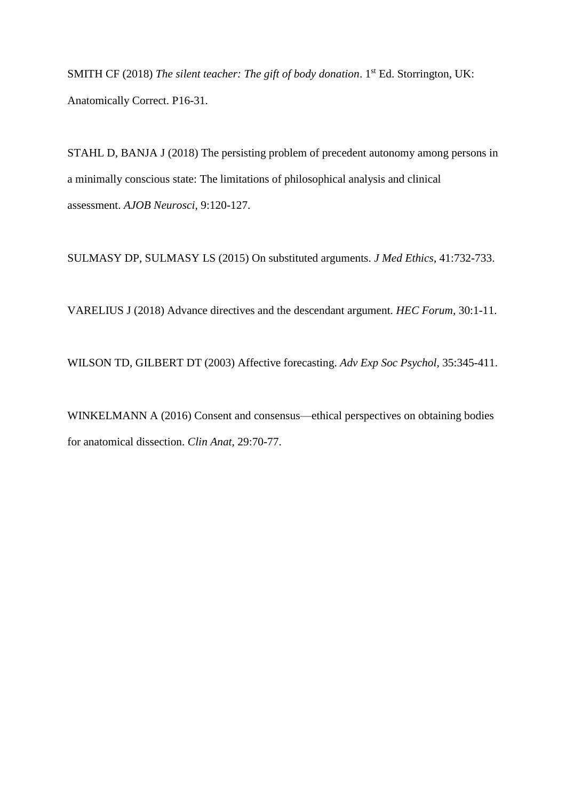SMITH CF (2018) *The silent teacher: The gift of body donation*. 1<sup>st</sup> Ed. Storrington, UK: Anatomically Correct. P16-31.

STAHL D, BANJA J (2018) The persisting problem of precedent autonomy among persons in a minimally conscious state: The limitations of philosophical analysis and clinical assessment. *AJOB Neurosci,* 9:120-127.

SULMASY DP, SULMASY LS (2015) On substituted arguments. *J Med Ethics*, 41:732-733.

VARELIUS J (2018) Advance directives and the descendant argument. *HEC Forum,* 30:1-11.

WILSON TD, GILBERT DT (2003) Affective forecasting. *Adv Exp Soc Psychol,* 35:345-411.

WINKELMANN A (2016) Consent and consensus—ethical perspectives on obtaining bodies for anatomical dissection. *Clin Anat,* 29:70-77.